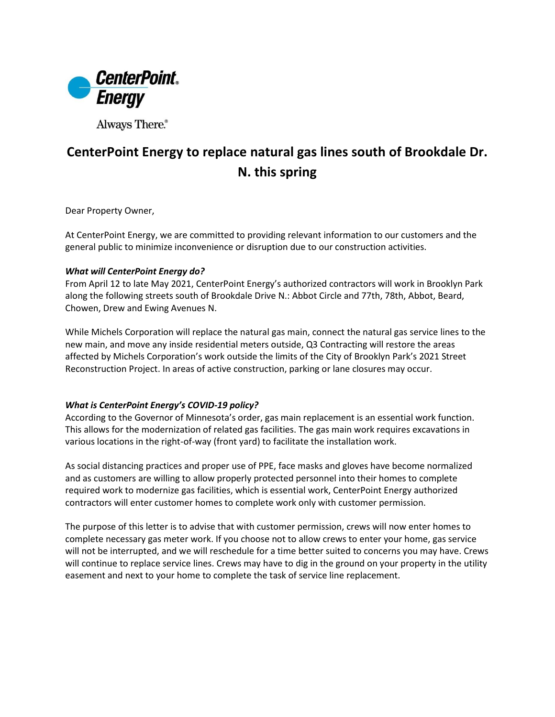

Always There.®

## **CenterPoint Energy to replace natural gas lines south of Brookdale Dr. N. this spring**

Dear Property Owner,

At CenterPoint Energy, we are committed to providing relevant information to our customers and the general public to minimize inconvenience or disruption due to our construction activities.

## *What will CenterPoint Energy do?*

From April 12 to late May 2021, CenterPoint Energy's authorized contractors will work in Brooklyn Park along the following streets south of Brookdale Drive N.: Abbot Circle and 77th, 78th, Abbot, Beard, Chowen, Drew and Ewing Avenues N.

While Michels Corporation will replace the natural gas main, connect the natural gas service lines to the new main, and move any inside residential meters outside, Q3 Contracting will restore the areas affected by Michels Corporation's work outside the limits of the City of Brooklyn Park's 2021 Street Reconstruction Project. In areas of active construction, parking or lane closures may occur.

## *What is CenterPoint Energy's COVID-19 policy?*

According to the Governor of Minnesota's order, gas main replacement is an essential work function. This allows for the modernization of related gas facilities. The gas main work requires excavations in various locations in the right-of-way (front yard) to facilitate the installation work.

As social distancing practices and proper use of PPE, face masks and gloves have become normalized and as customers are willing to allow properly protected personnel into their homes to complete required work to modernize gas facilities, which is essential work, CenterPoint Energy authorized contractors will enter customer homes to complete work only with customer permission.

The purpose of this letter is to advise that with customer permission, crews will now enter homes to complete necessary gas meter work. If you choose not to allow crews to enter your home, gas service will not be interrupted, and we will reschedule for a time better suited to concerns you may have. Crews will continue to replace service lines. Crews may have to dig in the ground on your property in the utility easement and next to your home to complete the task of service line replacement.